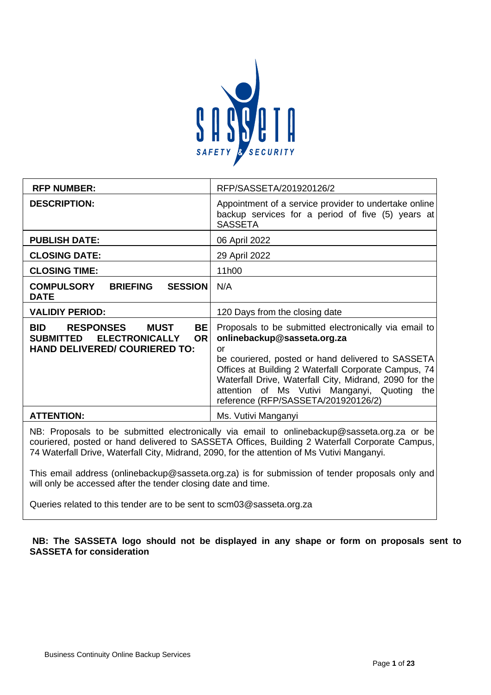

| <b>RFP NUMBER:</b>                                                                                                                       | RFP/SASSETA/201920126/2                                                                                                                                                                                                                                                                                                                                     |
|------------------------------------------------------------------------------------------------------------------------------------------|-------------------------------------------------------------------------------------------------------------------------------------------------------------------------------------------------------------------------------------------------------------------------------------------------------------------------------------------------------------|
| <b>DESCRIPTION:</b>                                                                                                                      | Appointment of a service provider to undertake online<br>backup services for a period of five (5) years at<br><b>SASSETA</b>                                                                                                                                                                                                                                |
| <b>PUBLISH DATE:</b>                                                                                                                     | 06 April 2022                                                                                                                                                                                                                                                                                                                                               |
| <b>CLOSING DATE:</b>                                                                                                                     | 29 April 2022                                                                                                                                                                                                                                                                                                                                               |
| <b>CLOSING TIME:</b>                                                                                                                     | 11h00                                                                                                                                                                                                                                                                                                                                                       |
| <b>COMPULSORY</b><br><b>BRIEFING</b><br><b>SESSION</b><br><b>DATE</b>                                                                    | N/A                                                                                                                                                                                                                                                                                                                                                         |
| <b>VALIDIY PERIOD:</b>                                                                                                                   | 120 Days from the closing date                                                                                                                                                                                                                                                                                                                              |
| <b>BID</b><br><b>RESPONSES</b><br>MUST<br>BE<br><b>ELECTRONICALLY</b><br><b>SUBMITTED</b><br>OR.<br><b>HAND DELIVERED/ COURIERED TO:</b> | Proposals to be submitted electronically via email to<br>onlinebackup@sasseta.org.za<br>or<br>be couriered, posted or hand delivered to SASSETA<br>Offices at Building 2 Waterfall Corporate Campus, 74<br>Waterfall Drive, Waterfall City, Midrand, 2090 for the<br>attention of Ms Vutivi Manganyi, Quoting<br>the<br>reference (RFP/SASSETA/201920126/2) |
| <b>ATTENTION:</b>                                                                                                                        | Ms. Vutivi Manganyi                                                                                                                                                                                                                                                                                                                                         |
|                                                                                                                                          |                                                                                                                                                                                                                                                                                                                                                             |

NB: Proposals to be submitted electronically via email to onlinebackup@sasseta.org.za or be couriered, posted or hand delivered to SASSETA Offices, Building 2 Waterfall Corporate Campus, 74 Waterfall Drive, Waterfall City, Midrand, 2090, for the attention of Ms Vutivi Manganyi.

This email address (onlinebackup@sasseta.org.za) is for submission of tender proposals only and will only be accessed after the tender closing date and time.

Queries related to this tender are to be sent to scm03@sasseta.org.za

**NB: The SASSETA logo should not be displayed in any shape or form on proposals sent to SASSETA for consideration**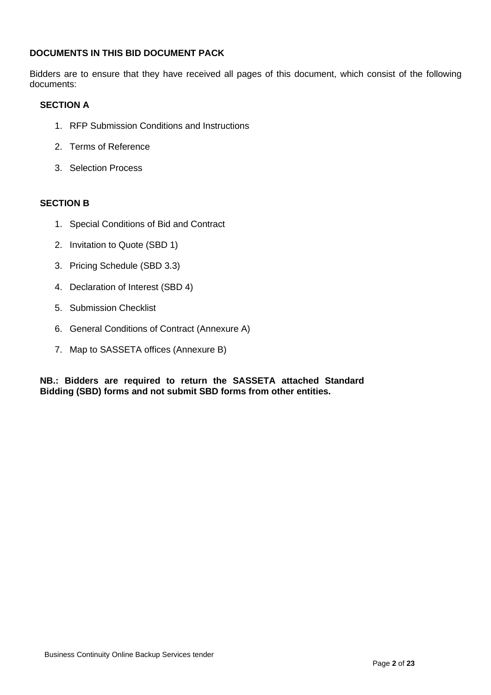# **DOCUMENTS IN THIS BID DOCUMENT PACK**

Bidders are to ensure that they have received all pages of this document, which consist of the following documents:

# **SECTION A**

- 1. RFP Submission Conditions and Instructions
- 2. Terms of Reference
- 3. Selection Process

# **SECTION B**

- 1. Special Conditions of Bid and Contract
- 2. Invitation to Quote (SBD 1)
- 3. Pricing Schedule (SBD 3.3)
- 4. Declaration of Interest (SBD 4)
- 5. Submission Checklist
- 6. General Conditions of Contract (Annexure A)
- 7. Map to SASSETA offices (Annexure B)

**NB.: Bidders are required to return the SASSETA attached Standard Bidding (SBD) forms and not submit SBD forms from other entities.**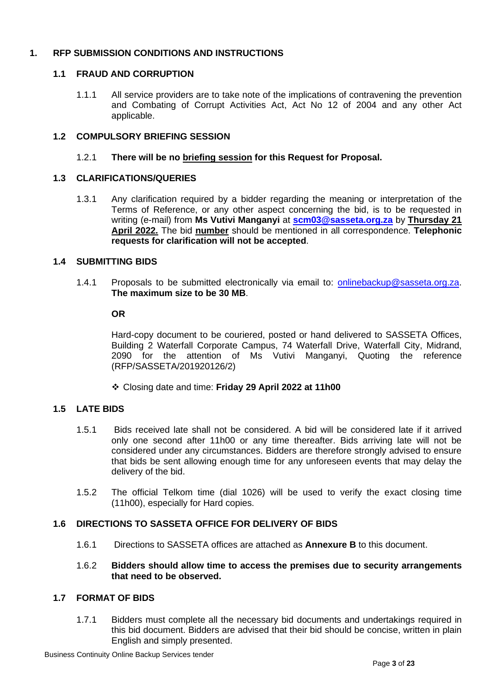# **1. RFP SUBMISSION CONDITIONS AND INSTRUCTIONS**

# **1.1 FRAUD AND CORRUPTION**

1.1.1 All service providers are to take note of the implications of contravening the prevention and Combating of Corrupt Activities Act, Act No 12 of 2004 and any other Act applicable.

# **1.2 COMPULSORY BRIEFING SESSION**

# 1.2.1 **There will be no briefing session for this Request for Proposal.**

# **1.3 CLARIFICATIONS/QUERIES**

1.3.1 Any clarification required by a bidder regarding the meaning or interpretation of the Terms of Reference, or any other aspect concerning the bid, is to be requested in writing (e-mail) from **Ms Vutivi Manganyi** at **[scm03@sasseta.org.za](mailto:scm03@sasseta.org.za)** by **Thursday 21 April 2022.** The bid **number** should be mentioned in all correspondence. **Telephonic requests for clarification will not be accepted**.

# **1.4 SUBMITTING BIDS**

1.4.1 Proposals to be submitted electronically via email to: [onlinebackup@sasseta.org.za.](mailto:onlinebackup@sasseta.org.za) **The maximum size to be 30 MB**.

# **OR**

Hard-copy document to be couriered, posted or hand delivered to SASSETA Offices, Building 2 Waterfall Corporate Campus, 74 Waterfall Drive, Waterfall City, Midrand, 2090 for the attention of Ms Vutivi Manganyi, Quoting the reference (RFP/SASSETA/201920126/2)

❖ Closing date and time: **Friday 29 April 2022 at 11h00**

# **1.5 LATE BIDS**

- 1.5.1 Bids received late shall not be considered. A bid will be considered late if it arrived only one second after 11h00 or any time thereafter. Bids arriving late will not be considered under any circumstances. Bidders are therefore strongly advised to ensure that bids be sent allowing enough time for any unforeseen events that may delay the delivery of the bid.
- 1.5.2 The official Telkom time (dial 1026) will be used to verify the exact closing time (11h00), especially for Hard copies.

# **1.6 DIRECTIONS TO SASSETA OFFICE FOR DELIVERY OF BIDS**

1.6.1 Directions to SASSETA offices are attached as **Annexure B** to this document.

#### 1.6.2 **Bidders should allow time to access the premises due to security arrangements that need to be observed.**

# **1.7 FORMAT OF BIDS**

1.7.1 Bidders must complete all the necessary bid documents and undertakings required in this bid document. Bidders are advised that their bid should be concise, written in plain English and simply presented.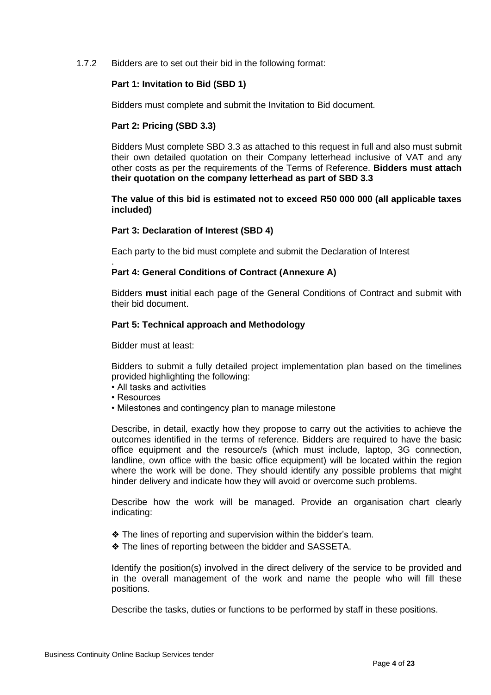1.7.2 Bidders are to set out their bid in the following format:

#### **Part 1: Invitation to Bid (SBD 1)**

Bidders must complete and submit the Invitation to Bid document.

# **Part 2: Pricing (SBD 3.3)**

Bidders Must complete SBD 3.3 as attached to this request in full and also must submit their own detailed quotation on their Company letterhead inclusive of VAT and any other costs as per the requirements of the Terms of Reference. **Bidders must attach their quotation on the company letterhead as part of SBD 3.3** 

#### **The value of this bid is estimated not to exceed R50 000 000 (all applicable taxes included)**

# **Part 3: Declaration of Interest (SBD 4)**

Each party to the bid must complete and submit the Declaration of Interest

#### . **Part 4: General Conditions of Contract (Annexure A)**

Bidders **must** initial each page of the General Conditions of Contract and submit with their bid document.

#### **Part 5: Technical approach and Methodology**

Bidder must at least:

Bidders to submit a fully detailed project implementation plan based on the timelines provided highlighting the following:

- All tasks and activities
- Resources
- Milestones and contingency plan to manage milestone

Describe, in detail, exactly how they propose to carry out the activities to achieve the outcomes identified in the terms of reference. Bidders are required to have the basic office equipment and the resource/s (which must include, laptop, 3G connection, landline, own office with the basic office equipment) will be located within the region where the work will be done. They should identify any possible problems that might hinder delivery and indicate how they will avoid or overcome such problems.

Describe how the work will be managed. Provide an organisation chart clearly indicating:

- ❖ The lines of reporting and supervision within the bidder's team.
- ❖ The lines of reporting between the bidder and SASSETA.

Identify the position(s) involved in the direct delivery of the service to be provided and in the overall management of the work and name the people who will fill these positions.

Describe the tasks, duties or functions to be performed by staff in these positions.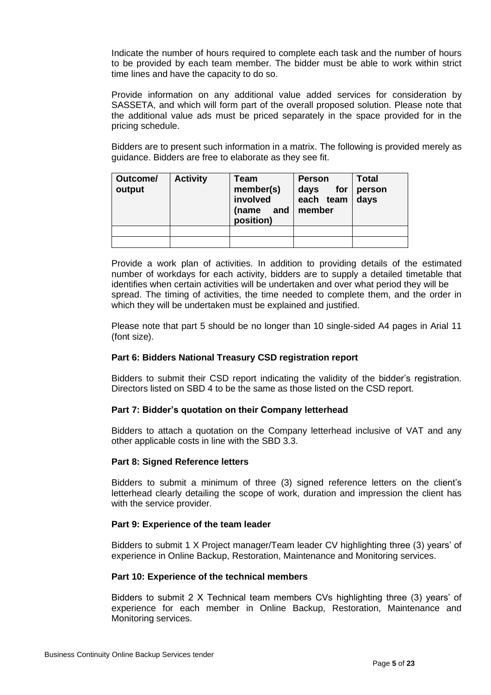Indicate the number of hours required to complete each task and the number of hours to be provided by each team member. The bidder must be able to work within strict time lines and have the capacity to do so.

Provide information on any additional value added services for consideration by SASSETA, and which will form part of the overall proposed solution. Please note that the additional value ads must be priced separately in the space provided for in the pricing schedule.

Bidders are to present such information in a matrix. The following is provided merely as guidance. Bidders are free to elaborate as they see fit.

| Outcome/<br>output | <b>Activity</b> | Team<br>member(s)<br>involved<br>and<br>(name<br>position) | <b>Person</b><br>for<br>days<br>each team<br>member | <b>Total</b><br>person<br>days |
|--------------------|-----------------|------------------------------------------------------------|-----------------------------------------------------|--------------------------------|
|                    |                 |                                                            |                                                     |                                |
|                    |                 |                                                            |                                                     |                                |

Provide a work plan of activities. In addition to providing details of the estimated number of workdays for each activity, bidders are to supply a detailed timetable that identifies when certain activities will be undertaken and over what period they will be spread. The timing of activities, the time needed to complete them, and the order in which they will be undertaken must be explained and justified.

Please note that part 5 should be no longer than 10 single-sided A4 pages in Arial 11 (font size).

# **Part 6: Bidders National Treasury CSD registration report**

Bidders to submit their CSD report indicating the validity of the bidder's registration. Directors listed on SBD 4 to be the same as those listed on the CSD report.

#### **Part 7: Bidder's quotation on their Company letterhead**

Bidders to attach a quotation on the Company letterhead inclusive of VAT and any other applicable costs in line with the SBD 3.3.

#### **Part 8: Signed Reference letters**

Bidders to submit a minimum of three (3) signed reference letters on the client's letterhead clearly detailing the scope of work, duration and impression the client has with the service provider.

#### **Part 9: Experience of the team leader**

Bidders to submit 1 X Project manager/Team leader CV highlighting three (3) years' of experience in Online Backup, Restoration, Maintenance and Monitoring services.

#### **Part 10: Experience of the technical members**

Bidders to submit 2 X Technical team members CVs highlighting three (3) years' of experience for each member in Online Backup, Restoration, Maintenance and Monitoring services.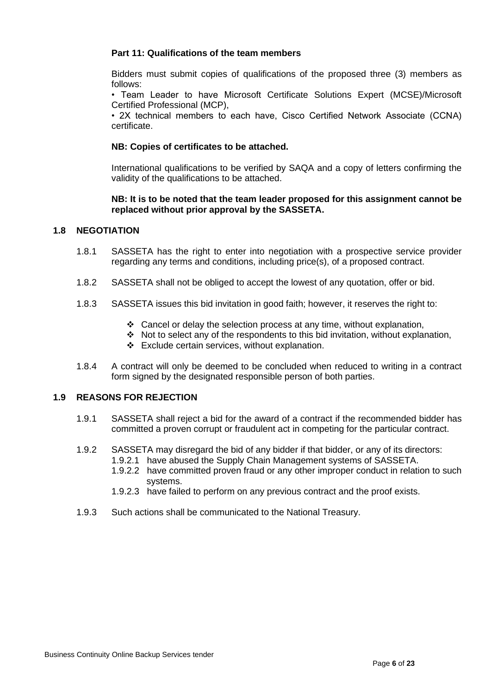#### **Part 11: Qualifications of the team members**

Bidders must submit copies of qualifications of the proposed three (3) members as follows:

• Team Leader to have Microsoft Certificate Solutions Expert (MCSE)/Microsoft Certified Professional (MCP),

• 2X technical members to each have, Cisco Certified Network Associate (CCNA) certificate.

#### **NB: Copies of certificates to be attached.**

International qualifications to be verified by SAQA and a copy of letters confirming the validity of the qualifications to be attached.

#### **NB: It is to be noted that the team leader proposed for this assignment cannot be replaced without prior approval by the SASSETA.**

#### **1.8 NEGOTIATION**

- 1.8.1 SASSETA has the right to enter into negotiation with a prospective service provider regarding any terms and conditions, including price(s), of a proposed contract.
- 1.8.2 SASSETA shall not be obliged to accept the lowest of any quotation, offer or bid.
- 1.8.3 SASSETA issues this bid invitation in good faith; however, it reserves the right to:
	- ❖ Cancel or delay the selection process at any time, without explanation,
	- ❖ Not to select any of the respondents to this bid invitation, without explanation,
	- ❖ Exclude certain services, without explanation.
- 1.8.4 A contract will only be deemed to be concluded when reduced to writing in a contract form signed by the designated responsible person of both parties.

#### **1.9 REASONS FOR REJECTION**

- 1.9.1 SASSETA shall reject a bid for the award of a contract if the recommended bidder has committed a proven corrupt or fraudulent act in competing for the particular contract.
- 1.9.2 SASSETA may disregard the bid of any bidder if that bidder, or any of its directors:
	- 1.9.2.1 have abused the Supply Chain Management systems of SASSETA.
	- 1.9.2.2 have committed proven fraud or any other improper conduct in relation to such systems.
	- 1.9.2.3 have failed to perform on any previous contract and the proof exists.
- 1.9.3 Such actions shall be communicated to the National Treasury.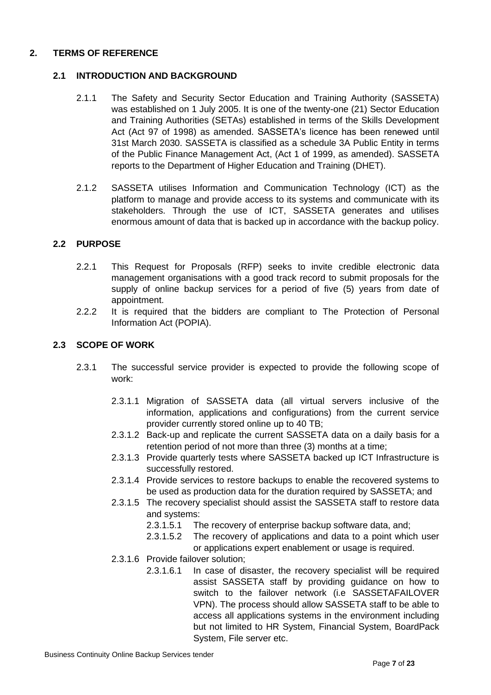# **2. TERMS OF REFERENCE**

# **2.1 INTRODUCTION AND BACKGROUND**

- 2.1.1 The Safety and Security Sector Education and Training Authority (SASSETA) was established on 1 July 2005. It is one of the twenty-one (21) Sector Education and Training Authorities (SETAs) established in terms of the Skills Development Act (Act 97 of 1998) as amended. SASSETA's licence has been renewed until 31st March 2030. SASSETA is classified as a schedule 3A Public Entity in terms of the Public Finance Management Act, (Act 1 of 1999, as amended). SASSETA reports to the Department of Higher Education and Training (DHET).
- 2.1.2 SASSETA utilises Information and Communication Technology (ICT) as the platform to manage and provide access to its systems and communicate with its stakeholders. Through the use of ICT, SASSETA generates and utilises enormous amount of data that is backed up in accordance with the backup policy.

# **2.2 PURPOSE**

- 2.2.1 This Request for Proposals (RFP) seeks to invite credible electronic data management organisations with a good track record to submit proposals for the supply of online backup services for a period of five (5) years from date of appointment.
- 2.2.2 It is required that the bidders are compliant to The Protection of Personal Information Act (POPIA).

# **2.3 SCOPE OF WORK**

- 2.3.1 The successful service provider is expected to provide the following scope of work:
	- 2.3.1.1 Migration of SASSETA data (all virtual servers inclusive of the information, applications and configurations) from the current service provider currently stored online up to 40 TB;
	- 2.3.1.2 Back-up and replicate the current SASSETA data on a daily basis for a retention period of not more than three (3) months at a time;
	- 2.3.1.3 Provide quarterly tests where SASSETA backed up ICT Infrastructure is successfully restored.
	- 2.3.1.4 Provide services to restore backups to enable the recovered systems to be used as production data for the duration required by SASSETA; and
	- 2.3.1.5 The recovery specialist should assist the SASSETA staff to restore data and systems:
		- 2.3.1.5.1 The recovery of enterprise backup software data, and;
		- 2.3.1.5.2 The recovery of applications and data to a point which user or applications expert enablement or usage is required.
	- 2.3.1.6 Provide failover solution;
		- 2.3.1.6.1 In case of disaster, the recovery specialist will be required assist SASSETA staff by providing guidance on how to switch to the failover network (i.e SASSETAFAILOVER VPN). The process should allow SASSETA staff to be able to access all applications systems in the environment including but not limited to HR System, Financial System, BoardPack System, File server etc.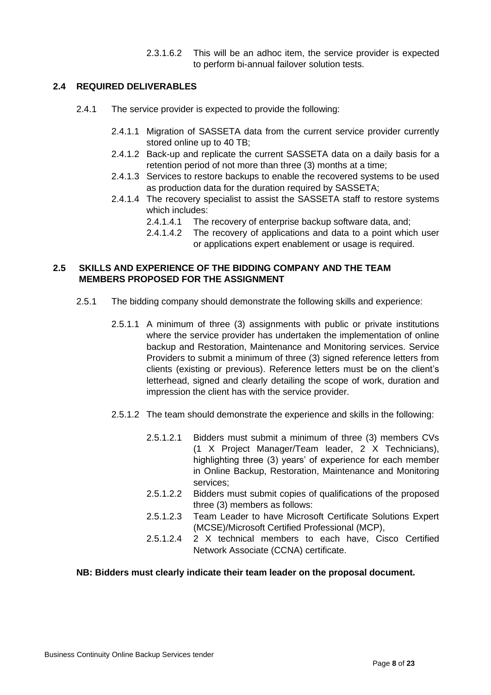2.3.1.6.2 This will be an adhoc item, the service provider is expected to perform bi-annual failover solution tests.

# **2.4 REQUIRED DELIVERABLES**

- 2.4.1 The service provider is expected to provide the following:
	- 2.4.1.1 Migration of SASSETA data from the current service provider currently stored online up to 40 TB;
	- 2.4.1.2 Back-up and replicate the current SASSETA data on a daily basis for a retention period of not more than three (3) months at a time;
	- 2.4.1.3 Services to restore backups to enable the recovered systems to be used as production data for the duration required by SASSETA;
	- 2.4.1.4 The recovery specialist to assist the SASSETA staff to restore systems which includes:
		- 2.4.1.4.1 The recovery of enterprise backup software data, and;
		- 2.4.1.4.2 The recovery of applications and data to a point which user or applications expert enablement or usage is required.

# **2.5 SKILLS AND EXPERIENCE OF THE BIDDING COMPANY AND THE TEAM MEMBERS PROPOSED FOR THE ASSIGNMENT**

- 2.5.1 The bidding company should demonstrate the following skills and experience:
	- 2.5.1.1 A minimum of three (3) assignments with public or private institutions where the service provider has undertaken the implementation of online backup and Restoration, Maintenance and Monitoring services. Service Providers to submit a minimum of three (3) signed reference letters from clients (existing or previous). Reference letters must be on the client's letterhead, signed and clearly detailing the scope of work, duration and impression the client has with the service provider.
	- 2.5.1.2 The team should demonstrate the experience and skills in the following:
		- 2.5.1.2.1 Bidders must submit a minimum of three (3) members CVs (1 X Project Manager/Team leader, 2 X Technicians), highlighting three (3) years' of experience for each member in Online Backup, Restoration, Maintenance and Monitoring services;
		- 2.5.1.2.2 Bidders must submit copies of qualifications of the proposed three (3) members as follows:
		- 2.5.1.2.3 Team Leader to have Microsoft Certificate Solutions Expert (MCSE)/Microsoft Certified Professional (MCP),
		- 2.5.1.2.4 2 X technical members to each have, Cisco Certified Network Associate (CCNA) certificate.

#### **NB: Bidders must clearly indicate their team leader on the proposal document.**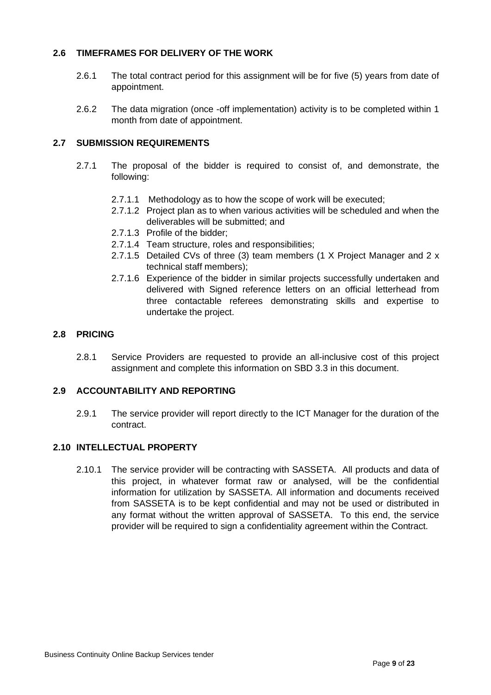# **2.6 TIMEFRAMES FOR DELIVERY OF THE WORK**

- 2.6.1 The total contract period for this assignment will be for five (5) years from date of appointment.
- 2.6.2 The data migration (once -off implementation) activity is to be completed within 1 month from date of appointment.

# **2.7 SUBMISSION REQUIREMENTS**

- 2.7.1 The proposal of the bidder is required to consist of, and demonstrate, the following:
	- 2.7.1.1 Methodology as to how the scope of work will be executed;
	- 2.7.1.2 Project plan as to when various activities will be scheduled and when the deliverables will be submitted; and
	- 2.7.1.3 Profile of the bidder;
	- 2.7.1.4 Team structure, roles and responsibilities;
	- 2.7.1.5 Detailed CVs of three (3) team members (1 X Project Manager and 2 x technical staff members);
	- 2.7.1.6 Experience of the bidder in similar projects successfully undertaken and delivered with Signed reference letters on an official letterhead from three contactable referees demonstrating skills and expertise to undertake the project.

# **2.8 PRICING**

2.8.1 Service Providers are requested to provide an all-inclusive cost of this project assignment and complete this information on SBD 3.3 in this document.

# **2.9 ACCOUNTABILITY AND REPORTING**

2.9.1 The service provider will report directly to the ICT Manager for the duration of the contract.

# **2.10 INTELLECTUAL PROPERTY**

2.10.1 The service provider will be contracting with SASSETA. All products and data of this project, in whatever format raw or analysed, will be the confidential information for utilization by SASSETA. All information and documents received from SASSETA is to be kept confidential and may not be used or distributed in any format without the written approval of SASSETA. To this end, the service provider will be required to sign a confidentiality agreement within the Contract.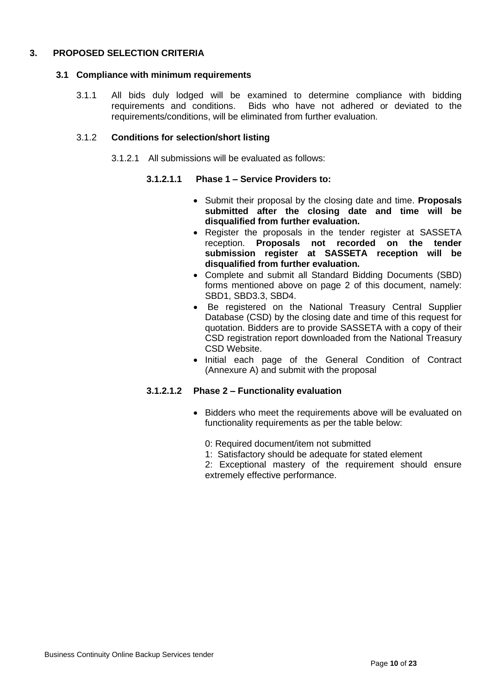# **3. PROPOSED SELECTION CRITERIA**

#### **3.1 Compliance with minimum requirements**

3.1.1 All bids duly lodged will be examined to determine compliance with bidding requirements and conditions. Bids who have not adhered or deviated to the requirements/conditions, will be eliminated from further evaluation.

#### 3.1.2 **Conditions for selection/short listing**

3.1.2.1 All submissions will be evaluated as follows:

#### **3.1.2.1.1 Phase 1 – Service Providers to:**

- Submit their proposal by the closing date and time. **Proposals submitted after the closing date and time will be disqualified from further evaluation.**
- Register the proposals in the tender register at SASSETA reception. **Proposals not recorded on the tender submission register at SASSETA reception will be disqualified from further evaluation.**
- Complete and submit all Standard Bidding Documents (SBD) forms mentioned above on page 2 of this document, namely: SBD1, SBD3.3, SBD4.
- Be registered on the National Treasury Central Supplier Database (CSD) by the closing date and time of this request for quotation. Bidders are to provide SASSETA with a copy of their CSD registration report downloaded from the National Treasury CSD Website.
- Initial each page of the General Condition of Contract (Annexure A) and submit with the proposal

# **3.1.2.1.2 Phase 2 – Functionality evaluation**

- Bidders who meet the requirements above will be evaluated on functionality requirements as per the table below:
	- 0: Required document/item not submitted
	- 1: Satisfactory should be adequate for stated element
	- 2: Exceptional mastery of the requirement should ensure extremely effective performance.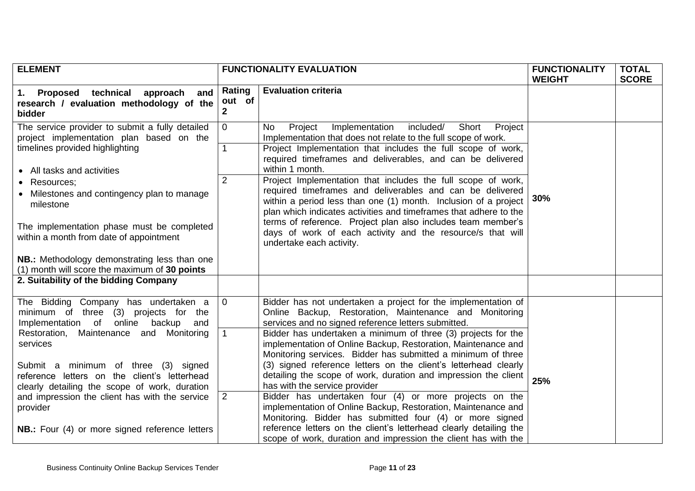| <b>FUNCTIONALITY EVALUATION</b><br><b>ELEMENT</b>                                                                                                                                                                                                                                                                                                                                              |                                                                | <b>FUNCTIONALITY</b><br><b>WEIGHT</b>                                                                                                                                                                                                                                                                                                                                                                                                                                                                                                                                                                                                                                                                                                          | <b>TOTAL</b><br><b>SCORE</b> |  |
|------------------------------------------------------------------------------------------------------------------------------------------------------------------------------------------------------------------------------------------------------------------------------------------------------------------------------------------------------------------------------------------------|----------------------------------------------------------------|------------------------------------------------------------------------------------------------------------------------------------------------------------------------------------------------------------------------------------------------------------------------------------------------------------------------------------------------------------------------------------------------------------------------------------------------------------------------------------------------------------------------------------------------------------------------------------------------------------------------------------------------------------------------------------------------------------------------------------------------|------------------------------|--|
| 1. Proposed technical<br>approach and<br>research / evaluation methodology of the<br><b>bidder</b>                                                                                                                                                                                                                                                                                             | <b>Evaluation criteria</b><br>Rating<br>out of<br>$\mathbf{2}$ |                                                                                                                                                                                                                                                                                                                                                                                                                                                                                                                                                                                                                                                                                                                                                |                              |  |
| The service provider to submit a fully detailed<br>project implementation plan based on the<br>timelines provided highlighting<br>• All tasks and activities<br>Resources;<br>Milestones and contingency plan to manage<br>milestone<br>The implementation phase must be completed<br>within a month from date of appointment                                                                  | $\overline{0}$<br>$\mathbf{1}$<br>$\overline{2}$               | included/<br>Project<br>Implementation<br>Short<br>No.<br>Project<br>Implementation that does not relate to the full scope of work.<br>Project Implementation that includes the full scope of work,<br>required timeframes and deliverables, and can be delivered<br>within 1 month.<br>Project Implementation that includes the full scope of work,<br>required timeframes and deliverables and can be delivered<br>within a period less than one (1) month. Inclusion of a project<br>plan which indicates activities and timeframes that adhere to the<br>terms of reference. Project plan also includes team member's<br>days of work of each activity and the resource/s that will<br>undertake each activity.                            | 30%                          |  |
| NB.: Methodology demonstrating less than one<br>(1) month will score the maximum of 30 points                                                                                                                                                                                                                                                                                                  |                                                                |                                                                                                                                                                                                                                                                                                                                                                                                                                                                                                                                                                                                                                                                                                                                                |                              |  |
| 2. Suitability of the bidding Company                                                                                                                                                                                                                                                                                                                                                          |                                                                |                                                                                                                                                                                                                                                                                                                                                                                                                                                                                                                                                                                                                                                                                                                                                |                              |  |
| The Bidding Company has undertaken a<br>(3) projects for the<br>minimum of three<br>Implementation of<br>backup<br>online<br>and<br>Restoration, Maintenance and Monitoring<br>services<br>Submit a minimum of three (3) signed<br>reference letters on the client's letterhead<br>clearly detailing the scope of work, duration<br>and impression the client has with the service<br>provider | $\overline{0}$<br>1<br>$\overline{2}$                          | Bidder has not undertaken a project for the implementation of<br>Online Backup, Restoration, Maintenance and Monitoring<br>services and no signed reference letters submitted.<br>Bidder has undertaken a minimum of three (3) projects for the<br>implementation of Online Backup, Restoration, Maintenance and<br>Monitoring services. Bidder has submitted a minimum of three<br>(3) signed reference letters on the client's letterhead clearly<br>detailing the scope of work, duration and impression the client<br>has with the service provider<br>Bidder has undertaken four (4) or more projects on the<br>implementation of Online Backup, Restoration, Maintenance and<br>Monitoring. Bidder has submitted four (4) or more signed | 25%                          |  |
| <b>NB.:</b> Four (4) or more signed reference letters                                                                                                                                                                                                                                                                                                                                          |                                                                | reference letters on the client's letterhead clearly detailing the<br>scope of work, duration and impression the client has with the                                                                                                                                                                                                                                                                                                                                                                                                                                                                                                                                                                                                           |                              |  |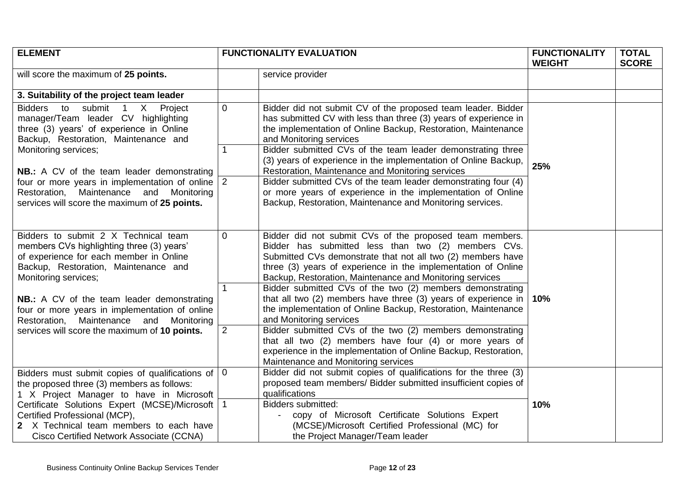| <b>ELEMENT</b>                                                                                                                                                                               | <b>FUNCTIONALITY EVALUATION</b> |                                                                                                                                                                                                                                                                                                            |     |  | <b>FUNCTIONALITY</b><br><b>WEIGHT</b> | <b>TOTAL</b><br><b>SCORE</b> |
|----------------------------------------------------------------------------------------------------------------------------------------------------------------------------------------------|---------------------------------|------------------------------------------------------------------------------------------------------------------------------------------------------------------------------------------------------------------------------------------------------------------------------------------------------------|-----|--|---------------------------------------|------------------------------|
| will score the maximum of 25 points.                                                                                                                                                         |                                 | service provider                                                                                                                                                                                                                                                                                           |     |  |                                       |                              |
| 3. Suitability of the project team leader                                                                                                                                                    |                                 |                                                                                                                                                                                                                                                                                                            |     |  |                                       |                              |
| Bidders to<br>submit<br>1 X Project<br>manager/Team leader CV highlighting<br>three (3) years' of experience in Online<br>Backup, Restoration, Maintenance and                               | $\mathbf 0$                     | Bidder did not submit CV of the proposed team leader. Bidder<br>has submitted CV with less than three (3) years of experience in<br>the implementation of Online Backup, Restoration, Maintenance<br>and Monitoring services                                                                               |     |  |                                       |                              |
| Monitoring services;<br><b>NB.:</b> A CV of the team leader demonstrating                                                                                                                    | 1                               | Bidder submitted CVs of the team leader demonstrating three<br>(3) years of experience in the implementation of Online Backup,<br>Restoration, Maintenance and Monitoring services                                                                                                                         | 25% |  |                                       |                              |
| four or more years in implementation of online $ 2 $<br>Restoration, Maintenance and Monitoring<br>services will score the maximum of 25 points.                                             |                                 | Bidder submitted CVs of the team leader demonstrating four (4)<br>or more years of experience in the implementation of Online<br>Backup, Restoration, Maintenance and Monitoring services.                                                                                                                 |     |  |                                       |                              |
| Bidders to submit 2 X Technical team<br>members CVs highlighting three (3) years'<br>of experience for each member in Online<br>Backup, Restoration, Maintenance and<br>Monitoring services; | $\mathbf 0$                     | Bidder did not submit CVs of the proposed team members.<br>Bidder has submitted less than two (2) members CVs.<br>Submitted CVs demonstrate that not all two (2) members have<br>three (3) years of experience in the implementation of Online<br>Backup, Restoration, Maintenance and Monitoring services |     |  |                                       |                              |
| <b>NB.:</b> A CV of the team leader demonstrating<br>four or more years in implementation of online<br>Restoration, Maintenance and Monitoring                                               | $\mathbf{1}$                    | Bidder submitted CVs of the two (2) members demonstrating<br>that all two (2) members have three (3) years of experience in<br>the implementation of Online Backup, Restoration, Maintenance<br>and Monitoring services                                                                                    | 10% |  |                                       |                              |
| services will score the maximum of 10 points.                                                                                                                                                | $\overline{2}$                  | Bidder submitted CVs of the two (2) members demonstrating<br>that all two (2) members have four (4) or more years of<br>experience in the implementation of Online Backup, Restoration,<br>Maintenance and Monitoring services                                                                             |     |  |                                       |                              |
| $\overline{0}$<br>Bidders must submit copies of qualifications of<br>the proposed three (3) members as follows:<br>1 X Project Manager to have in Microsoft                                  |                                 | Bidder did not submit copies of qualifications for the three (3)<br>proposed team members/ Bidder submitted insufficient copies of<br>qualifications                                                                                                                                                       |     |  |                                       |                              |
| Certificate Solutions Expert (MCSE)/Microsoft   1<br>Certified Professional (MCP),<br>2 X Technical team members to each have<br>Cisco Certified Network Associate (CCNA)                    |                                 | <b>Bidders submitted:</b><br>copy of Microsoft Certificate Solutions Expert<br>(MCSE)/Microsoft Certified Professional (MC) for<br>the Project Manager/Team leader                                                                                                                                         | 10% |  |                                       |                              |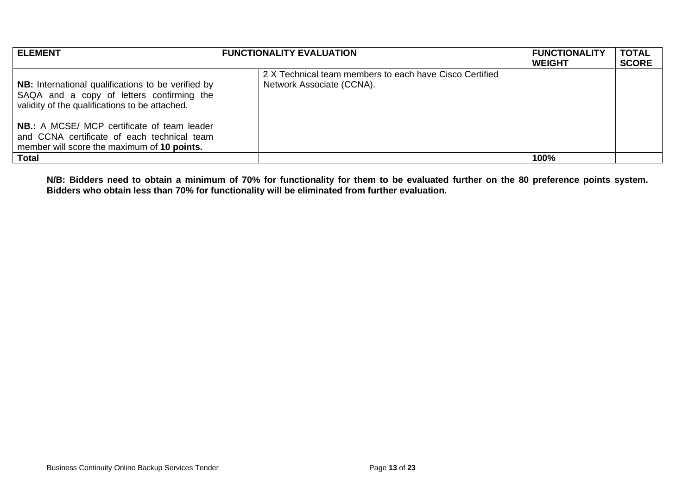| <b>ELEMENT</b>                                                                                                                                           | <b>FUNCTIONALITY EVALUATION</b>                                                      | <b>FUNCTIONALITY</b><br><b>WEIGHT</b> | <b>TOTAL</b><br><b>SCORE</b> |
|----------------------------------------------------------------------------------------------------------------------------------------------------------|--------------------------------------------------------------------------------------|---------------------------------------|------------------------------|
| <b>NB:</b> International qualifications to be verified by<br>SAQA and a copy of letters confirming the<br>validity of the qualifications to be attached. | 2 X Technical team members to each have Cisco Certified<br>Network Associate (CCNA). |                                       |                              |
| <b>NB.:</b> A MCSE/ MCP certificate of team leader<br>and CCNA certificate of each technical team<br>member will score the maximum of 10 points.         |                                                                                      |                                       |                              |
| Total                                                                                                                                                    |                                                                                      | 100%                                  |                              |

**N/B: Bidders need to obtain a minimum of 70% for functionality for them to be evaluated further on the 80 preference points system. Bidders who obtain less than 70% for functionality will be eliminated from further evaluation.**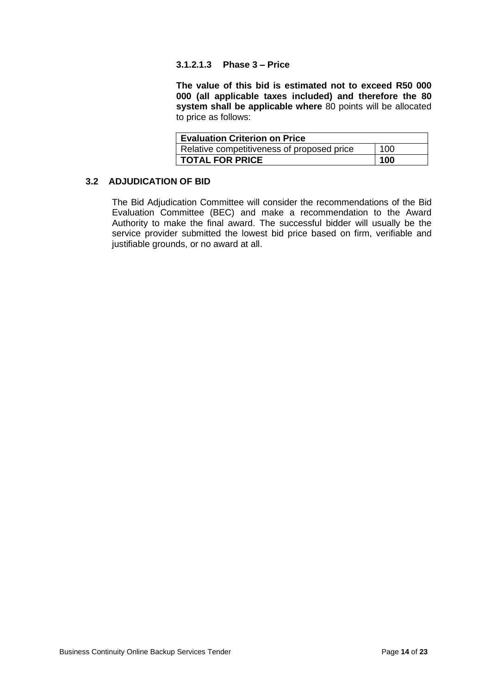#### **3.1.2.1.3 Phase 3 – Price**

**The value of this bid is estimated not to exceed R50 000 000 (all applicable taxes included) and therefore the 80 system shall be applicable where** 80 points will be allocated to price as follows:

| <b>Evaluation Criterion on Price</b>              |     |  |  |
|---------------------------------------------------|-----|--|--|
| Relative competitiveness of proposed price<br>100 |     |  |  |
| <b>TOTAL FOR PRICE</b>                            | 100 |  |  |

# **3.2 ADJUDICATION OF BID**

The Bid Adjudication Committee will consider the recommendations of the Bid Evaluation Committee (BEC) and make a recommendation to the Award Authority to make the final award. The successful bidder will usually be the service provider submitted the lowest bid price based on firm, verifiable and justifiable grounds, or no award at all.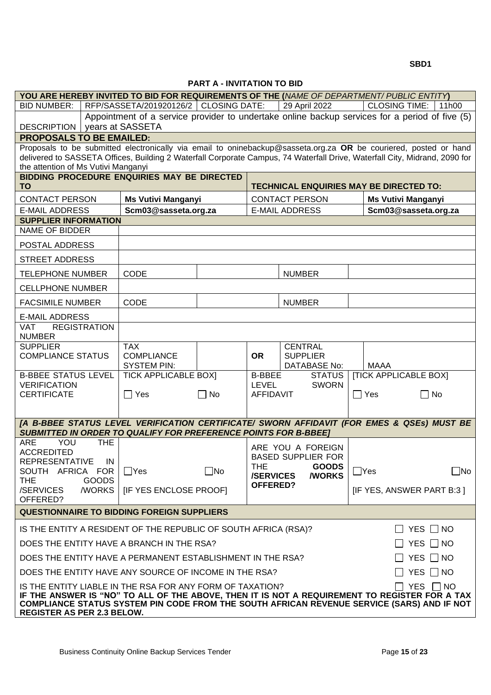**SBD1** 

**PART A - INVITATION TO BID**

|                                                                                                                                                                                                                                                |                              | <b>FANI A - INVITATION TO BID</b> |                                |                               |                                                |           |
|------------------------------------------------------------------------------------------------------------------------------------------------------------------------------------------------------------------------------------------------|------------------------------|-----------------------------------|--------------------------------|-------------------------------|------------------------------------------------|-----------|
| YOU ARE HEREBY INVITED TO BID FOR REQUIREMENTS OF THE (NAME OF DEPARTMENT/ PUBLIC ENTITY)                                                                                                                                                      |                              |                                   |                                |                               |                                                |           |
| RFP/SASSETA/201920126/2   CLOSING DATE:<br><b>BID NUMBER:</b><br>29 April 2022<br><b>CLOSING TIME:</b><br>11h00<br>Appointment of a service provider to undertake online backup services for a period of five (5)                              |                              |                                   |                                |                               |                                                |           |
| years at SASSETA<br><b>DESCRIPTION</b>                                                                                                                                                                                                         |                              |                                   |                                |                               |                                                |           |
| <b>PROPOSALS TO BE EMAILED:</b>                                                                                                                                                                                                                |                              |                                   |                                |                               |                                                |           |
| Proposals to be submitted electronically via email to oninebackup@sasseta.org.za OR be couriered, posted or hand<br>delivered to SASSETA Offices, Building 2 Waterfall Corporate Campus, 74 Waterfall Drive, Waterfall City, Midrand, 2090 for |                              |                                   |                                |                               |                                                |           |
| the attention of Ms Vutivi Manganyi                                                                                                                                                                                                            |                              |                                   |                                |                               |                                                |           |
| BIDDING PROCEDURE ENQUIRIES MAY BE DIRECTED<br><b>TO</b>                                                                                                                                                                                       |                              |                                   |                                |                               | <b>TECHNICAL ENQUIRIES MAY BE DIRECTED TO:</b> |           |
| <b>CONTACT PERSON</b>                                                                                                                                                                                                                          | <b>Ms Vutivi Manganyi</b>    |                                   |                                | <b>CONTACT PERSON</b>         | <b>Ms Vutivi Manganyi</b>                      |           |
| <b>E-MAIL ADDRESS</b>                                                                                                                                                                                                                          | Scm03@sasseta.org.za         |                                   |                                | <b>E-MAIL ADDRESS</b>         | Scm03@sasseta.org.za                           |           |
| <b>SUPPLIER INFORMATION</b>                                                                                                                                                                                                                    |                              |                                   |                                |                               |                                                |           |
| <b>NAME OF BIDDER</b>                                                                                                                                                                                                                          |                              |                                   |                                |                               |                                                |           |
| POSTAL ADDRESS                                                                                                                                                                                                                                 |                              |                                   |                                |                               |                                                |           |
| <b>STREET ADDRESS</b>                                                                                                                                                                                                                          |                              |                                   |                                |                               |                                                |           |
| <b>TELEPHONE NUMBER</b>                                                                                                                                                                                                                        | <b>CODE</b>                  |                                   |                                | <b>NUMBER</b>                 |                                                |           |
| <b>CELLPHONE NUMBER</b>                                                                                                                                                                                                                        |                              |                                   |                                |                               |                                                |           |
| <b>FACSIMILE NUMBER</b>                                                                                                                                                                                                                        | <b>CODE</b>                  |                                   |                                | <b>NUMBER</b>                 |                                                |           |
| <b>E-MAIL ADDRESS</b>                                                                                                                                                                                                                          |                              |                                   |                                |                               |                                                |           |
| <b>REGISTRATION</b><br><b>VAT</b><br><b>NUMBER</b>                                                                                                                                                                                             |                              |                                   |                                |                               |                                                |           |
| <b>SUPPLIER</b>                                                                                                                                                                                                                                | <b>TAX</b>                   |                                   |                                | <b>CENTRAL</b>                |                                                |           |
| <b>COMPLIANCE STATUS</b>                                                                                                                                                                                                                       | <b>COMPLIANCE</b>            |                                   | <b>OR</b>                      | <b>SUPPLIER</b>               |                                                |           |
|                                                                                                                                                                                                                                                | <b>SYSTEM PIN:</b>           |                                   |                                | <b>DATABASE No:</b>           | <b>MAAA</b>                                    |           |
| <b>B-BBEE STATUS LEVEL</b><br><b>VERIFICATION</b>                                                                                                                                                                                              | <b>TICK APPLICABLE BOXI</b>  |                                   | <b>B-BBEE</b><br>LEVEL         | <b>STATUS</b><br><b>SWORN</b> | <b>[TICK APPLICABLE BOX]</b>                   |           |
| <b>CERTIFICATE</b>                                                                                                                                                                                                                             | $\Box$ Yes                   | $\Box$ No                         | <b>AFFIDAVIT</b>               |                               | $\Box$ Yes<br>$\Box$ No                        |           |
|                                                                                                                                                                                                                                                |                              |                                   |                                |                               |                                                |           |
| [A B-BBEE STATUS LEVEL VERIFICATION CERTIFICATE/ SWORN AFFIDAVIT (FOR EMES & QSEs) MUST BE                                                                                                                                                     |                              |                                   |                                |                               |                                                |           |
| <b>SUBMITTED IN ORDER TO QUALIFY FOR PREFERENCE POINTS FOR B-BBEET</b>                                                                                                                                                                         |                              |                                   |                                |                               |                                                |           |
| <b>ARE</b><br>YOU<br><b>THE</b><br><b>ACCREDITED</b>                                                                                                                                                                                           |                              |                                   |                                | ARE YOU A FOREIGN             |                                                |           |
| <b>REPRESENTATIVE</b><br>IN.                                                                                                                                                                                                                   |                              |                                   |                                | BASED SUPPLIER FOR            |                                                |           |
| SOUTH AFRICA FOR                                                                                                                                                                                                                               | $\Box$ Yes                   | $\Box$ No                         | <b>THE</b><br><b>/SERVICES</b> | <b>GOODS</b><br><b>/WORKS</b> | $\Box$ Yes                                     | $\Box$ No |
| <b>THE</b><br><b>GOODS</b><br>/WORKS<br>/SERVICES                                                                                                                                                                                              | <b>IF YES ENCLOSE PROOFI</b> |                                   | <b>OFFERED?</b>                |                               | [IF YES, ANSWER PART B:3]                      |           |
| OFFERED?                                                                                                                                                                                                                                       |                              |                                   |                                |                               |                                                |           |
| <b>QUESTIONNAIRE TO BIDDING FOREIGN SUPPLIERS</b>                                                                                                                                                                                              |                              |                                   |                                |                               |                                                |           |
| IS THE ENTITY A RESIDENT OF THE REPUBLIC OF SOUTH AFRICA (RSA)?                                                                                                                                                                                |                              |                                   |                                |                               | $\Box$ YES $\Box$ NO                           |           |
| DOES THE ENTITY HAVE A BRANCH IN THE RSA?                                                                                                                                                                                                      |                              |                                   |                                |                               | $\Box$ YES $\Box$ NO                           |           |
| DOES THE ENTITY HAVE A PERMANENT ESTABLISHMENT IN THE RSA?                                                                                                                                                                                     |                              |                                   |                                |                               | $\Box$ YES $\Box$ NO                           |           |
| DOES THE ENTITY HAVE ANY SOURCE OF INCOME IN THE RSA?                                                                                                                                                                                          |                              |                                   |                                |                               | $\Box$ Yes $\Box$ No                           |           |
| IS THE ENTITY LIABLE IN THE RSA FOR ANY FORM OF TAXATION?                                                                                                                                                                                      |                              |                                   |                                |                               | □ YES □ NO                                     |           |
| IF THE ANSWER IS "NO" TO ALL OF THE ABOVE, THEN IT IS NOT A REQUIREMENT TO REGISTER FOR A TAX<br>COMPLIANCE STATUS SYSTEM PIN CODE FROM THE SOUTH AFRICAN REVENUE SERVICE (SARS) AND IF NOT<br>REGISTER AS PER 2.3 BELOW.                      |                              |                                   |                                |                               |                                                |           |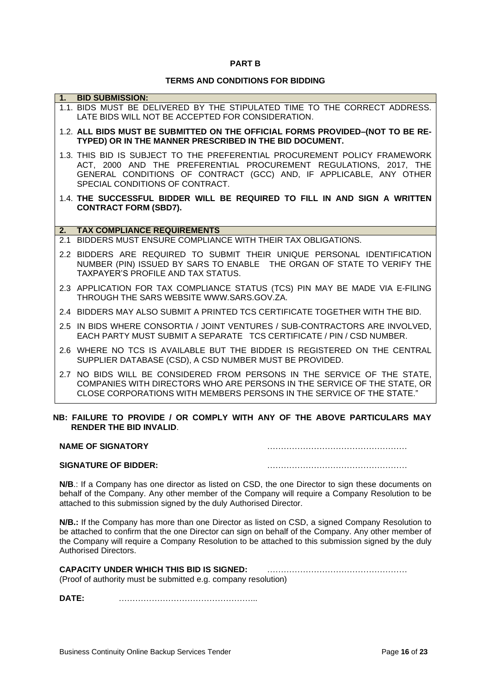#### **PART B**

# **TERMS AND CONDITIONS FOR BIDDING**

|    | 1. BID SUBMISSION:                                                                                                                                                                                                                                      |
|----|---------------------------------------------------------------------------------------------------------------------------------------------------------------------------------------------------------------------------------------------------------|
|    | 1.1. BIDS MUST BE DELIVERED BY THE STIPULATED TIME TO THE CORRECT ADDRESS.<br>LATE BIDS WILL NOT BE ACCEPTED FOR CONSIDERATION.                                                                                                                         |
|    | 1.2. ALL BIDS MUST BE SUBMITTED ON THE OFFICIAL FORMS PROVIDED-(NOT TO BE RE-<br>TYPED) OR IN THE MANNER PRESCRIBED IN THE BID DOCUMENT.                                                                                                                |
|    | 1.3. THIS BID IS SUBJECT TO THE PREFERENTIAL PROCUREMENT POLICY FRAMEWORK<br>ACT, 2000 AND THE PREFERENTIAL PROCUREMENT REGULATIONS, 2017, THE<br>GENERAL CONDITIONS OF CONTRACT (GCC) AND, IF APPLICABLE, ANY OTHER<br>SPECIAL CONDITIONS OF CONTRACT. |
|    | 1.4. THE SUCCESSFUL BIDDER WILL BE REQUIRED TO FILL IN AND SIGN A WRITTEN<br><b>CONTRACT FORM (SBD7).</b>                                                                                                                                               |
| 2. | <b>TAX COMPLIANCE REQUIREMENTS</b>                                                                                                                                                                                                                      |
|    | 2.1 BIDDERS MUST ENSURE COMPLIANCE WITH THEIR TAX OBLIGATIONS.                                                                                                                                                                                          |
|    | 2.2 BIDDERS ARE REQUIRED TO SUBMIT THEIR UNIQUE PERSONAL IDENTIFICATION<br>NUMBER (PIN) ISSUED BY SARS TO ENABLE THE ORGAN OF STATE TO VERIFY THE<br>TAXPAYER'S PROFILE AND TAX STATUS.                                                                 |
|    | 2.3 APPLICATION FOR TAX COMPLIANCE STATUS (TCS) PIN MAY BE MADE VIA E-FILING<br>THROUGH THE SARS WEBSITE WWW.SARS.GOV.ZA.                                                                                                                               |
|    | 2.4 BIDDERS MAY ALSO SUBMIT A PRINTED TCS CERTIFICATE TOGETHER WITH THE BID.                                                                                                                                                                            |
|    | 2.5 IN BIDS WHERE CONSORTIA / JOINT VENTURES / SUB-CONTRACTORS ARE INVOLVED,<br>EACH PARTY MUST SUBMIT A SEPARATE TCS CERTIFICATE / PIN / CSD NUMBER.                                                                                                   |
|    | 2.6 WHERE NO TCS IS AVAILABLE BUT THE BIDDER IS REGISTERED ON THE CENTRAL<br>SUPPLIER DATABASE (CSD), A CSD NUMBER MUST BE PROVIDED.                                                                                                                    |
|    | 2.7 NO BIDS WILL BE CONSIDERED FROM PERSONS IN THE SERVICE OF THE STATE,<br>COMPANIES WITH DIRECTORS WHO ARE PERSONS IN THE SERVICE OF THE STATE, OR<br>CLOSE CORPORATIONS WITH MEMBERS PERSONS IN THE SERVICE OF THE STATE."                           |
|    | NB: FAILURE TO PROVIDE / OR COMPLY WITH ANY OF THE ABOVE PARTICULARS MAY                                                                                                                                                                                |

# **RENDER THE BID INVALID**.

| <b>NAME OF SIGNATORY</b>    |  |
|-----------------------------|--|
| <b>SIGNATURE OF BIDDER:</b> |  |

**N/B**.: If a Company has one director as listed on CSD, the one Director to sign these documents on behalf of the Company. Any other member of the Company will require a Company Resolution to be attached to this submission signed by the duly Authorised Director.

**N/B.:** If the Company has more than one Director as listed on CSD, a signed Company Resolution to be attached to confirm that the one Director can sign on behalf of the Company. Any other member of the Company will require a Company Resolution to be attached to this submission signed by the duly Authorised Directors.

| <b>CAPACITY UNDER WHICH THIS BID IS SIGNED:</b>                |  |
|----------------------------------------------------------------|--|
| (Proof of authority must be submitted e.g. company resolution) |  |

**DATE:** …………………………………………...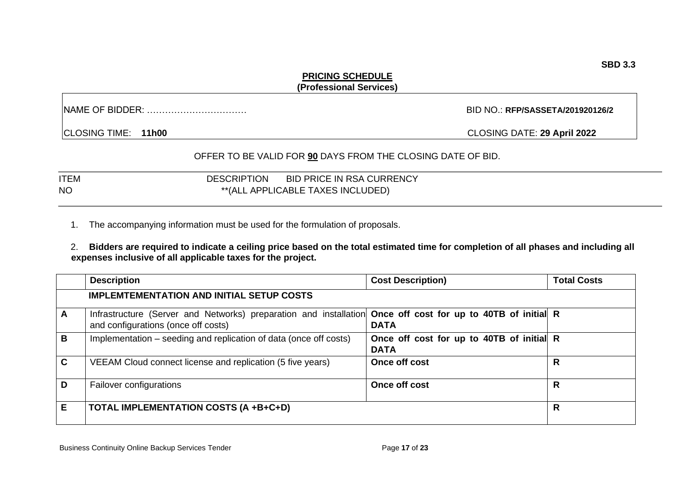#### **PRICING SCHEDULE (Professional Services)**

NAME OF BIDDER: …………………………… BID NO.: **RFP/SASSETA/201920126/2**

CLOSING TIME: **11h00** CLOSING DATE: **29 April 2022**

# OFFER TO BE VALID FOR **90** DAYS FROM THE CLOSING DATE OF BID.

| <b>ITEM</b> | <b>BID PRICE IN RSA CURRENCY</b><br><b>DESCRIPTION</b> |
|-------------|--------------------------------------------------------|
| <b>NO</b>   | **(ALL APPLICABLE TAXES INCLUDED)                      |

1. The accompanying information must be used for the formulation of proposals.

2. **Bidders are required to indicate a ceiling price based on the total estimated time for completion of all phases and including all expenses inclusive of all applicable taxes for the project.** 

|              | <b>Description</b>                                                                                                                                 | <b>Cost Description)</b>                                 | <b>Total Costs</b> |
|--------------|----------------------------------------------------------------------------------------------------------------------------------------------------|----------------------------------------------------------|--------------------|
|              | <b>IMPLEMTEMENTATION AND INITIAL SETUP COSTS</b>                                                                                                   |                                                          |                    |
| A            | Infrastructure (Server and Networks) preparation and installation Once off cost for up to 40TB of initial R<br>and configurations (once off costs) | <b>DATA</b>                                              |                    |
| B            | Implementation – seeding and replication of data (once off costs)                                                                                  | Once off cost for up to 40TB of initial R<br><b>DATA</b> |                    |
| $\mathbf{C}$ | VEEAM Cloud connect license and replication (5 five years)                                                                                         | Once off cost                                            | R                  |
| D            | Failover configurations                                                                                                                            | Once off cost                                            | R                  |
| Е            | <b>TOTAL IMPLEMENTATION COSTS (A +B+C+D)</b>                                                                                                       |                                                          | $\mathsf{R}$       |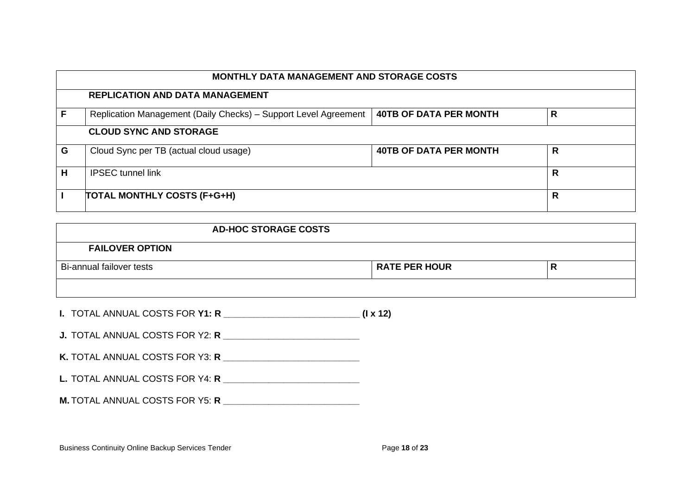|   | <b>MONTHLY DATA MANAGEMENT AND STORAGE COSTS</b>                |                               |   |  |
|---|-----------------------------------------------------------------|-------------------------------|---|--|
|   | <b>REPLICATION AND DATA MANAGEMENT</b>                          |                               |   |  |
|   | Replication Management (Daily Checks) - Support Level Agreement | <b>40TB OF DATA PER MONTH</b> | R |  |
|   | <b>CLOUD SYNC AND STORAGE</b>                                   |                               |   |  |
| G | Cloud Sync per TB (actual cloud usage)                          | <b>40TB OF DATA PER MONTH</b> | R |  |
| н | <b>IPSEC</b> tunnel link                                        |                               | R |  |
|   | <b>TOTAL MONTHLY COSTS (F+G+H)</b>                              |                               | R |  |

| <b>AD-HOC STORAGE COSTS</b> |  |                      |    |
|-----------------------------|--|----------------------|----|
| <b>FAILOVER OPTION</b>      |  |                      |    |
| Bi-annual failover tests    |  | <b>RATE PER HOUR</b> | '' |
|                             |  |                      |    |

|  | <b>I. TOTAL ANNUAL COSTS FOR Y1: R</b> | $(I \times 12)$ |  |  |
|--|----------------------------------------|-----------------|--|--|
|--|----------------------------------------|-----------------|--|--|

| <b>J. TOTAL ANNUAL COSTS FOR Y2: R</b> |  |
|----------------------------------------|--|
|----------------------------------------|--|

| K. TOTAL ANNUAL COSTS FOR Y3: R |  |
|---------------------------------|--|
|---------------------------------|--|

**L.** TOTAL ANNUAL COSTS FOR Y4: **R \_\_\_\_\_\_\_\_\_\_\_\_\_\_\_\_\_\_\_\_\_\_\_\_\_\_\_**

**M.** TOTAL ANNUAL COSTS FOR Y5: **R \_\_\_\_\_\_\_\_\_\_\_\_\_\_\_\_\_\_\_\_\_\_\_\_\_\_\_**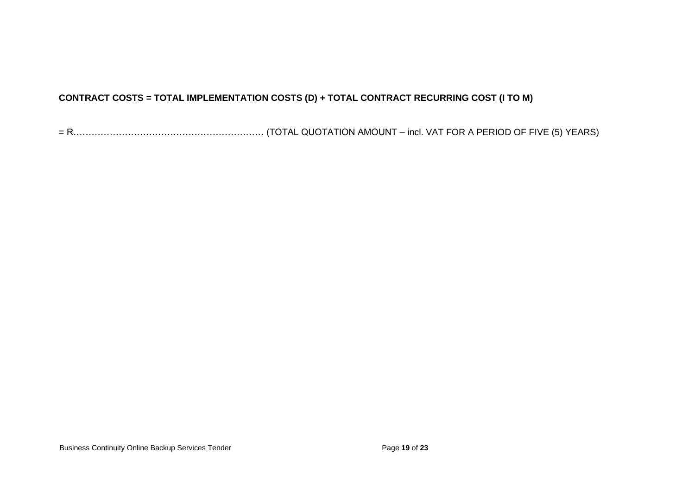# **CONTRACT COSTS = TOTAL IMPLEMENTATION COSTS (D) + TOTAL CONTRACT RECURRING COST (I TO M)**

| $= R$ | . R………………………………………………………(TOTAL QUOTATION AMOUNT – incl. VAT FOR A PERIOD OF FIVE (5) YEARS) |
|-------|---------------------------------------------------------------------------------------------|
|-------|---------------------------------------------------------------------------------------------|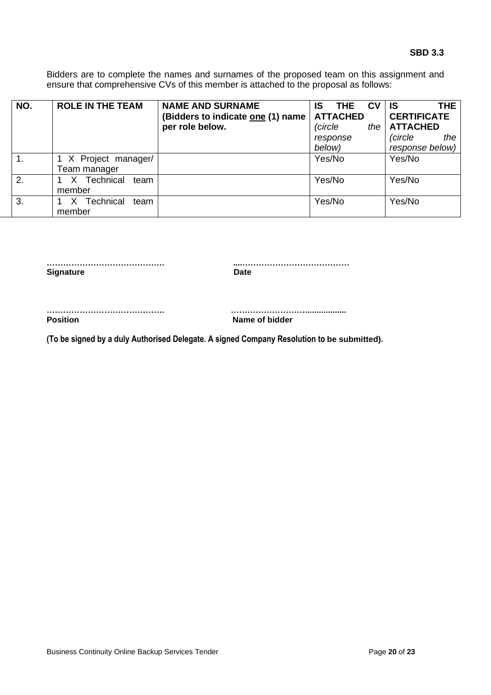Bidders are to complete the names and surnames of the proposed team on this assignment and ensure that comprehensive CVs of this member is attached to the proposal as follows:

| NO. | <b>ROLE IN THE TEAM</b>            | <b>NAME AND SURNAME</b><br>(Bidders to indicate one (1) name<br>per role below. | <b>CV</b><br>IS<br>THE<br><b>ATTACHED</b><br>(circle<br>the<br>response<br>below) | THE.<br>IS.<br><b>CERTIFICATE</b><br><b>ATTACHED</b><br>(circle<br>the<br>response below) |
|-----|------------------------------------|---------------------------------------------------------------------------------|-----------------------------------------------------------------------------------|-------------------------------------------------------------------------------------------|
|     | X Project manager/<br>Team manager |                                                                                 | Yes/No                                                                            | Yes/No                                                                                    |
| 2.  | Technical<br>team<br>member        |                                                                                 | Yes/No                                                                            | Yes/No                                                                                    |
| 3.  | Technical<br>team<br>member        |                                                                                 | Yes/No                                                                            | Yes/No                                                                                    |

**……………………………………. ....…………………………………** Signature Date **Date** 

**……………………………………. ………………………..................**

**Position** Name of bidder

**(To be signed by a duly Authorised Delegate. A signed Company Resolution to be submitted).**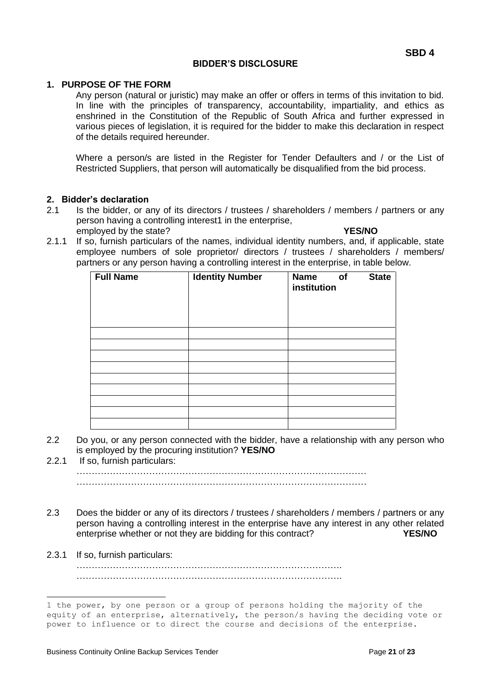#### **BIDDER'S DISCLOSURE**

# **1. PURPOSE OF THE FORM**

Any person (natural or juristic) may make an offer or offers in terms of this invitation to bid. In line with the principles of transparency, accountability, impartiality, and ethics as enshrined in the Constitution of the Republic of South Africa and further expressed in various pieces of legislation, it is required for the bidder to make this declaration in respect of the details required hereunder.

Where a person/s are listed in the Register for Tender Defaulters and / or the List of Restricted Suppliers, that person will automatically be disqualified from the bid process.

#### **2. Bidder's declaration**

- 2.1 Is the bidder, or any of its directors / trustees / shareholders / members / partners or any person having a controlling interest1 in the enterprise, employed by the state? **YES/NO**
- 2.1.1 If so, furnish particulars of the names, individual identity numbers, and, if applicable, state employee numbers of sole proprietor/ directors / trustees / shareholders / members/ partners or any person having a controlling interest in the enterprise, in table below.

| <b>Full Name</b> | <b>Identity Number</b> | <b>Name</b><br><b>State</b><br>o <sub>f</sub><br>institution |  |
|------------------|------------------------|--------------------------------------------------------------|--|
|                  |                        |                                                              |  |
|                  |                        |                                                              |  |
|                  |                        |                                                              |  |
|                  |                        |                                                              |  |
|                  |                        |                                                              |  |
|                  |                        |                                                              |  |
|                  |                        |                                                              |  |
|                  |                        |                                                              |  |
|                  |                        |                                                              |  |

- 2.2 Do you, or any person connected with the bidder, have a relationship with any person who is employed by the procuring institution? **YES/NO**
- 2.2.1 If so, furnish particulars: ……………………………………………………………………………………  $\mathcal{L}^{\text{max}}$
- 2.3 Does the bidder or any of its directors / trustees / shareholders / members / partners or any person having a controlling interest in the enterprise have any interest in any other related enterprise whether or not they are bidding for this contract? **YES/NO**
- 2.3.1 If so, furnish particulars: ……………………………………………………………………………. …………………………………………………………………………….

<sup>1</sup> the power, by one person or a group of persons holding the majority of the equity of an enterprise, alternatively, the person/s having the deciding vote or power to influence or to direct the course and decisions of the enterprise.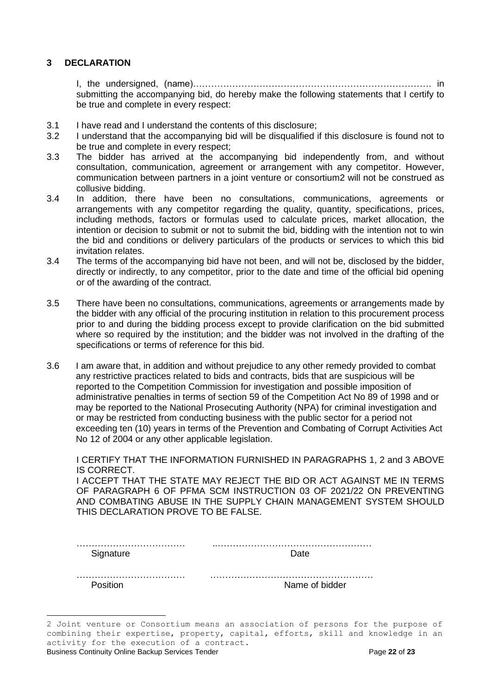#### **3 DECLARATION**

I, the undersigned, (name)……………………………………………………………………. in submitting the accompanying bid, do hereby make the following statements that I certify to be true and complete in every respect:

- 3.1 I have read and I understand the contents of this disclosure;
- 3.2 I understand that the accompanying bid will be disqualified if this disclosure is found not to be true and complete in every respect;
- 3.3 The bidder has arrived at the accompanying bid independently from, and without consultation, communication, agreement or arrangement with any competitor. However, communication between partners in a joint venture or consortium2 will not be construed as collusive bidding.
- 3.4 In addition, there have been no consultations, communications, agreements or arrangements with any competitor regarding the quality, quantity, specifications, prices, including methods, factors or formulas used to calculate prices, market allocation, the intention or decision to submit or not to submit the bid, bidding with the intention not to win the bid and conditions or delivery particulars of the products or services to which this bid invitation relates.
- 3.4 The terms of the accompanying bid have not been, and will not be, disclosed by the bidder, directly or indirectly, to any competitor, prior to the date and time of the official bid opening or of the awarding of the contract.
- 3.5 There have been no consultations, communications, agreements or arrangements made by the bidder with any official of the procuring institution in relation to this procurement process prior to and during the bidding process except to provide clarification on the bid submitted where so required by the institution; and the bidder was not involved in the drafting of the specifications or terms of reference for this bid.
- 3.6 I am aware that, in addition and without prejudice to any other remedy provided to combat any restrictive practices related to bids and contracts, bids that are suspicious will be reported to the Competition Commission for investigation and possible imposition of administrative penalties in terms of section 59 of the Competition Act No 89 of 1998 and or may be reported to the National Prosecuting Authority (NPA) for criminal investigation and or may be restricted from conducting business with the public sector for a period not exceeding ten (10) years in terms of the Prevention and Combating of Corrupt Activities Act No 12 of 2004 or any other applicable legislation.

I CERTIFY THAT THE INFORMATION FURNISHED IN PARAGRAPHS 1, 2 and 3 ABOVE IS CORRECT.

I ACCEPT THAT THE STATE MAY REJECT THE BID OR ACT AGAINST ME IN TERMS OF PARAGRAPH 6 OF PFMA SCM INSTRUCTION 03 OF 2021/22 ON PREVENTING AND COMBATING ABUSE IN THE SUPPLY CHAIN MANAGEMENT SYSTEM SHOULD THIS DECLARATION PROVE TO BE FALSE.

Signature Date Date

……………………………… ……………………………………………… Position **Name of bidder** 

Business Continuity Online Backup Services Tender Page **22** of **23**

<sup>2</sup> Joint venture or Consortium means an association of persons for the purpose of combining their expertise, property, capital, efforts, skill and knowledge in an activity for the execution of a contract.